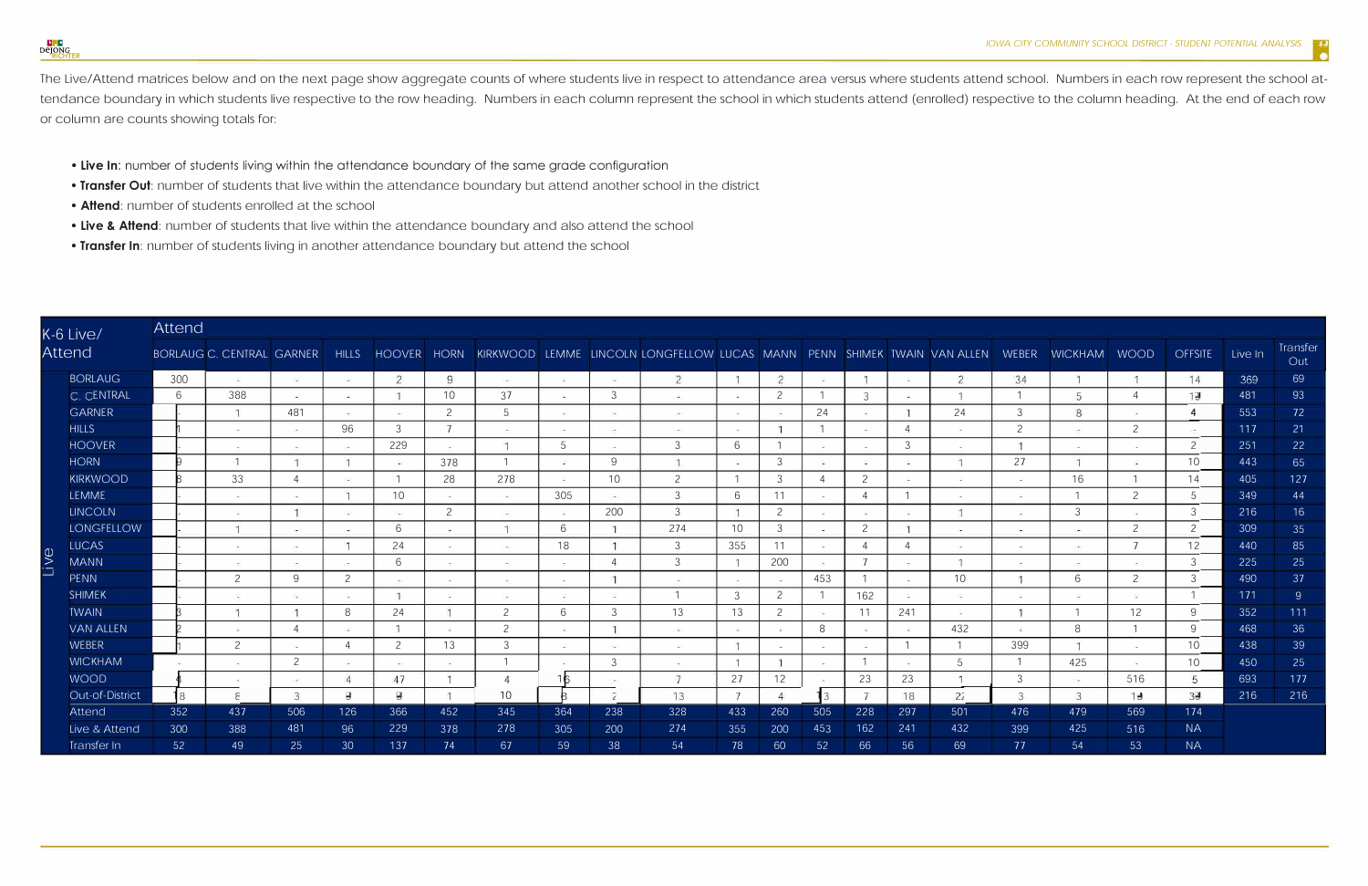| K-6 Live/<br><b>Attend</b> |                   | <b>Attend</b>   |        |               |       |      |                |                             |                |                 |                                                                                                                            |                |                |                          |                |                          |                          |                |                     |                |                 |         |                 |
|----------------------------|-------------------|-----------------|--------|---------------|-------|------|----------------|-----------------------------|----------------|-----------------|----------------------------------------------------------------------------------------------------------------------------|----------------|----------------|--------------------------|----------------|--------------------------|--------------------------|----------------|---------------------|----------------|-----------------|---------|-----------------|
|                            |                   |                 |        |               |       |      |                |                             |                |                 | BORLAUG C. CENTRAL GARNER HILLS HOOVER HORN KIRKWOOD LEMME LINCOLN LONGFELLOW LUCAS MANN PENN SHIMEK TWAIN VAN ALLEN WEBER |                |                |                          |                |                          |                          |                | <b>WICKHAM WOOD</b> |                | <b>OFFSITE</b>  | Live In | Transfer<br>Out |
|                            | <b>BORLAUG</b>    | 300             | - 25   | $-1$          | 1940  | 2    | 9              | (4.5)                       | $\sim$         | 1940            | $\overline{2}$                                                                                                             |                | $\overline{2}$ | -94                      |                | <b>SALE</b>              | $\overline{2}$           | 34             |                     |                | 14              | 369     | 69              |
|                            | C. CENTRAL        | 6               | 388    | <b>Carlos</b> | 1,400 |      | 10             | 37                          | $\sim$         | 3               | 1,400                                                                                                                      | <b>Color</b>   | 2              |                          | 3              |                          |                          |                | 5                   |                | 19              | 481     | 93              |
|                            | <b>GARNER</b>     |                 |        | 481           | 2407  |      | $\overline{c}$ | 5                           | <b>Sec.</b>    | $\sim$          | $\sim 100$                                                                                                                 | <b>Control</b> |                | 24                       |                |                          | 24                       | 3              | 8                   |                | $\overline{4}$  | 553     | 72              |
|                            | <b>HILLS</b>      |                 |        |               | 96    | 3    |                |                             | $\sim$         | $\sim$          | $-200$                                                                                                                     |                |                |                          |                |                          |                          | $\overline{2}$ |                     | $\overline{c}$ |                 | 117     | 21              |
|                            | <b>HOOVER</b>     |                 |        |               |       | 229  |                | $\mathbf{1}$                | 5              |                 | 3                                                                                                                          | 6              |                | $\overline{\phantom{a}}$ |                | -3                       | $\overline{\phantom{a}}$ |                | $\sim$              |                | 2 <sup>1</sup>  | 251     | 22              |
|                            | <b>HORN</b>       |                 |        |               |       |      | 378            |                             | <b>Since</b>   | 9               | $-1$                                                                                                                       | <b>A</b>       | 3              | <b>College</b>           |                | a se                     |                          | 27             |                     | <b>College</b> | 10 <sup>°</sup> | 443     | 65              |
|                            | <b>KIRKWOOD</b>   |                 | 33     |               |       |      | 28             | 278                         | - 27           | 10 <sup>°</sup> | $\overline{2}$                                                                                                             |                | 3              |                          | $\overline{2}$ |                          |                          | <b>Section</b> | 16                  |                | 14              | 405     | 127             |
|                            | <b>LEMME</b>      |                 | ÷      | San           |       | 10   | i.             | 545.                        | 305            | 84              | 3                                                                                                                          | 6              | 11             | in the                   |                |                          | œ.                       | $\sim$         |                     | 2              | 5 <sup>1</sup>  | 349     | 44              |
|                            | <b>LINCOLN</b>    |                 | -20    |               |       | 543  | $\overline{c}$ | $-5$                        | $\sim$         | 200             | 3                                                                                                                          |                | $\overline{2}$ |                          |                |                          |                          | <b>College</b> | 3                   |                | 3 <sup>1</sup>  | 216     | 16              |
|                            | <b>LONGFELLOW</b> |                 |        |               |       | 6    |                |                             | 6              |                 | 274                                                                                                                        | 10             | 3              |                          | 2              |                          | in a                     | the control    | 240.                | 2              | 2 <sup>1</sup>  | 309     | 35              |
|                            | <b>LUCAS</b>      |                 | $\sim$ | Contractor    |       | 24   | they is        | Card C                      | 18             |                 | 3                                                                                                                          | 355            | 11             | $\sim$                   | $\overline{A}$ |                          | the c                    | the control    | $\frac{1}{2}$       | $\overline{ }$ | 12              | 440     | 85              |
| Live                       | <b>MANN</b>       |                 |        |               |       | 6    |                | $\alpha \rightarrow \infty$ | $\sim$         |                 | 3                                                                                                                          |                | 200            | $\sim$                   |                | $\rightarrow$            |                          | $\sim$         | $\sim$ $-$          | $\sim$         | 3 <sup>1</sup>  | 225     | 25              |
|                            | <b>PENN</b>       |                 | 2      | 9             |       |      | $\sim$         | $\sim$                      | $\sim$         |                 | $\sim$                                                                                                                     | <b>COLL</b>    | $\sim$         | 453                      |                | $\overline{\phantom{a}}$ | 10                       |                | 6                   | 2              | 3 <sup>1</sup>  | 490     | 37              |
|                            | <b>SHIMEK</b>     |                 |        |               |       |      |                |                             | <b>Section</b> |                 |                                                                                                                            | 3              | 2              |                          | 162            |                          | The Co                   | Contractor     | <b>Section</b>      |                |                 | 171     | 9 <sup>°</sup>  |
|                            | <b>TWAIN</b>      |                 |        |               | 8     | 24   |                | $\overline{2}$              | 6              |                 | 13                                                                                                                         | 13             | 2              |                          | 11             | 241                      | <b>Security</b>          |                |                     | 12             | 9 <sup>1</sup>  | 352     | 111             |
|                            | <b>VAN ALLEN</b>  |                 |        |               |       |      |                | $\mathcal{P}$               | - 20           |                 | $-45$                                                                                                                      | $\overline{a}$ |                | 8                        | ×.             | $\sim$                   | 432                      |                | 8                   |                | $\overline{9}$  | 468     | 36              |
|                            | <b>WEBER</b>      |                 | 2      |               |       | 2    | 13             | 3                           | - 48           | $-1$            | 143                                                                                                                        |                |                | <b>Call</b>              |                |                          |                          | 399            |                     | i de           | 10 <sup>°</sup> | 438     | 39              |
|                            | <b>WICKHAM</b>    | i.              | ÷      | $\mathcal{L}$ |       | 74 F | $\sim$         |                             | $\sim$         | ्र              | $-1$                                                                                                                       |                |                | $\sim$                   |                | ÷                        | 5                        |                | 425                 | $\sim$         | 10              | 450     | 25              |
|                            | <b>WOOD</b>       |                 | $\sim$ | 140           |       | 47   |                |                             | 16             | C. Mark         |                                                                                                                            | 27             | 12             |                          | 23             | 23                       |                          | 3              | The C               | 516            | 5               | 693     | 177             |
|                            | Out-of-District   | 18              | 8      | 3             | 9     | 9    |                | 10 <sup>°</sup>             |                | 2               | 13                                                                                                                         | 7              |                | 13                       | $\overline{7}$ | 18                       | 22                       | 3              | 3                   | 19             | 39              | 216     | 216             |
|                            | Attend            | 352             | 437    | 506           | 126   | 366  | 452            | 345                         | 364            | 238             | 328                                                                                                                        | 433            | 260            | 505                      | 228            | 297                      | 501                      | 476            | 479                 | 569            | 174             |         |                 |
|                            | Live & Attend     | 300             | 388    | 481           | 96    | 229  | 378            | 278                         | 305            | 200             | 274                                                                                                                        | 355            | 200            | 453                      | 162            | 241                      | 432                      | 399            | 425                 | 516            | <b>NA</b>       |         |                 |
|                            | Transfer In       | 52 <sub>2</sub> | 49     | 25            | 30    | 137  | 74             | 67                          | 59             | 38              | 54                                                                                                                         | 78             | 60             | 52                       | 66             | 56                       | 69                       | 77             | 54                  | 53             | <b>NA</b>       |         |                 |

The Live/Attend matrices below and on the next page show aggregate counts of where students live in respect to attendance area versus where students attend school. Numbers in each row represent the school attendance boundary in which students live respective to the row heading. Numbers in each column represent the school in which students attend (enrolled) respective to the column heading. At the end of each row or column are counts showing totals for:

- **Live In:** number of students living within the attendance boundary of the same grade configuration
- **Transfer Out:** number of students that live within the attendance boundary but attend another school in the district
- **Attend:** number of students enrolled at the school
- **Live** & **Attend:** number of students that live within the attendance boundary and also attend the school
- **Transfer In:** number of students living in another attendance boundary but attend the school